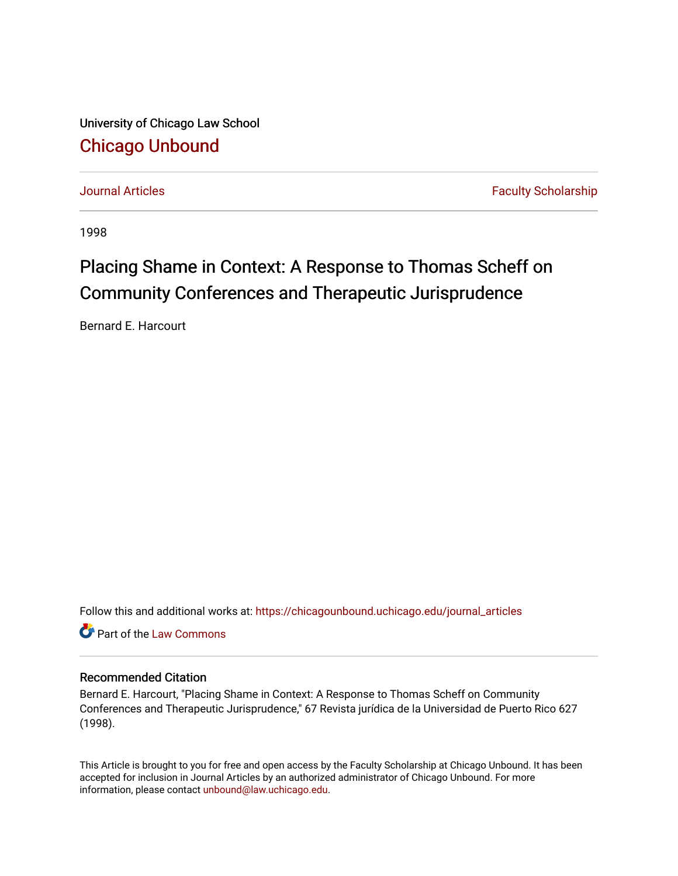University of Chicago Law School [Chicago Unbound](https://chicagounbound.uchicago.edu/)

[Journal Articles](https://chicagounbound.uchicago.edu/journal_articles) **Faculty Scholarship Journal Articles** 

1998

# Placing Shame in Context: A Response to Thomas Scheff on Community Conferences and Therapeutic Jurisprudence

Bernard E. Harcourt

Follow this and additional works at: [https://chicagounbound.uchicago.edu/journal\\_articles](https://chicagounbound.uchicago.edu/journal_articles?utm_source=chicagounbound.uchicago.edu%2Fjournal_articles%2F1469&utm_medium=PDF&utm_campaign=PDFCoverPages) 

**C** Part of the [Law Commons](http://network.bepress.com/hgg/discipline/578?utm_source=chicagounbound.uchicago.edu%2Fjournal_articles%2F1469&utm_medium=PDF&utm_campaign=PDFCoverPages)

### Recommended Citation

Bernard E. Harcourt, "Placing Shame in Context: A Response to Thomas Scheff on Community Conferences and Therapeutic Jurisprudence," 67 Revista jurídica de la Universidad de Puerto Rico 627 (1998).

This Article is brought to you for free and open access by the Faculty Scholarship at Chicago Unbound. It has been accepted for inclusion in Journal Articles by an authorized administrator of Chicago Unbound. For more information, please contact [unbound@law.uchicago.edu](mailto:unbound@law.uchicago.edu).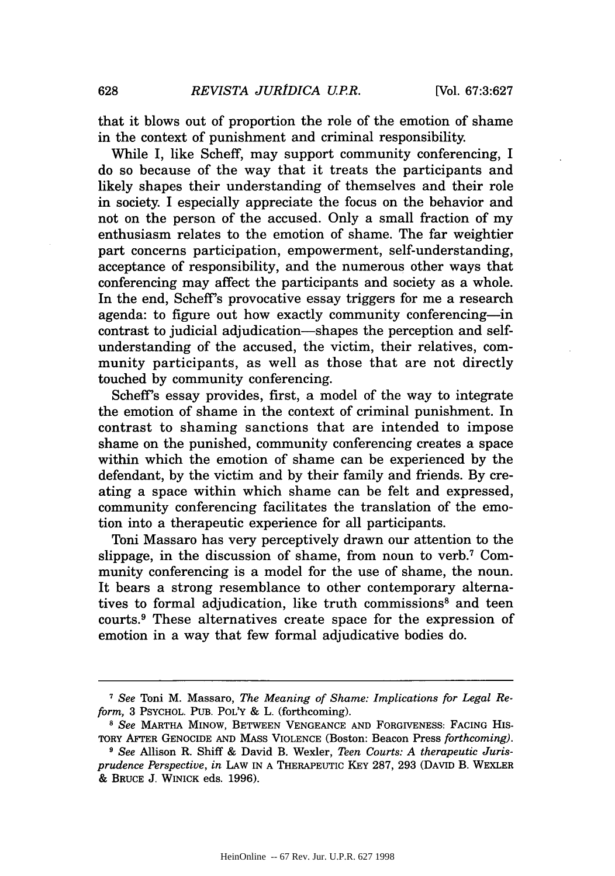that it blows out of proportion the role of the emotion of shame in the context of punishment and criminal responsibility.

While I, like Scheff, may support community conferencing, I do so because of the way that it treats the participants and likely shapes their understanding of themselves and their role in society. I especially appreciate the focus on the behavior and not on the person of the accused. Only a small fraction of my enthusiasm relates to the emotion of shame. The far weightier part concerns participation, empowerment, self-understanding, acceptance of responsibility, and the numerous other ways that conferencing may affect the participants and society as a whole. In the end, Scheff's provocative essay triggers for me a research agenda: to figure out how exactly community conferencing-in contrast to judicial adjudication-shapes the perception and selfunderstanding of the accused, the victim, their relatives, community participants, as well as those that are not directly touched by community conferencing.

Scheff's essay provides, first, a model of the way to integrate the emotion of shame in the context of criminal punishment. In contrast to shaming sanctions that are intended to impose shame on the punished, community conferencing creates a space within which the emotion of shame can be experienced by the defendant, by the victim and by their family and friends. By creating a space within which shame can be felt and expressed, community conferencing facilitates the translation of the emotion into a therapeutic experience for all participants.

Toni Massaro has very perceptively drawn our attention to the slippage, in the discussion of shame, from noun to verb.<sup>7</sup> Community conferencing is a model for the use of shame, the noun. It bears a strong resemblance to other contemporary alternatives to formal adjudication, like truth commissions<sup>8</sup> and teen courts.9 These alternatives create space for the expression of emotion in a way that few formal adjudicative bodies do.

**<sup>7</sup>** *See* Toni M. Massaro, *The Meaning of Shame: Implications for Legal Reform,* 3 PSYCHOL. PUB. POL'Y & L. (forthcoming).

<sup>8</sup> *See* MARTHA MINOW, BETWEEN VENGEANCE AND FORGIVENESS: FACING HiS-TORY AFTER GENOCIDE AND MASS VIOLENCE (Boston: Beacon Press *forthcoming).*

*<sup>9</sup> See* Allison R. Shiff & David B. Wexler, *Teen Courts: A therapeutic Jurisprudence Perspective, in* LAW IN A THERAPEUTIC KEY 287, 293 (DAvID B. WEXLER & BRUCE J. WINICK eds. 1996).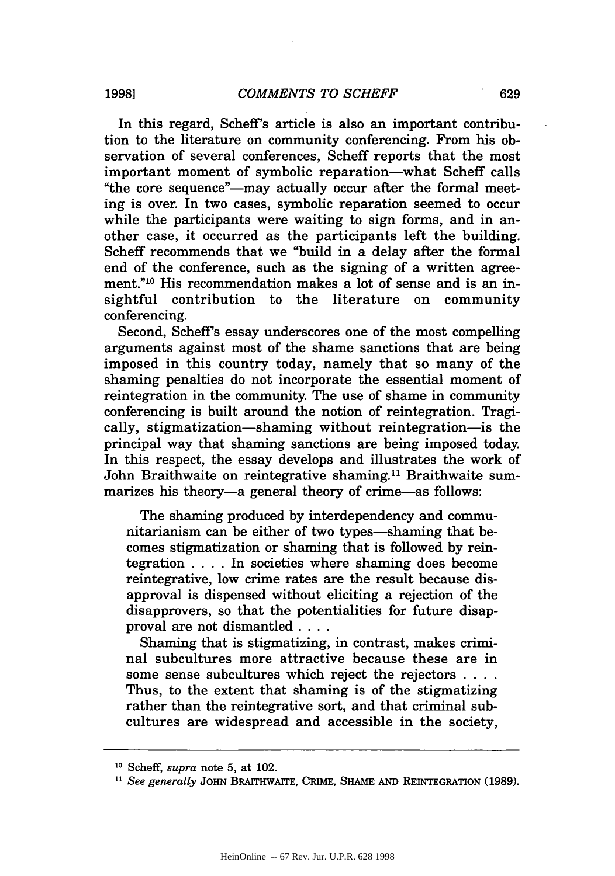In this regard, Scheff's article is also an important contribution to the literature on community conferencing. From his observation of several conferences, Scheff reports that the most important moment of symbolic reparation-what Scheff calls "the core sequence"—may actually occur after the formal meeting is over. In two cases, symbolic reparation seemed to occur while the participants were waiting to sign forms, and in another case, it occurred as the participants left the building. Scheff recommends that we "build in a delay after the formal end of the conference, such as the signing of a written agreement."<sup>10</sup> His recommendation makes a lot of sense and is an insightful contribution to the literature on community conferencing.

Second, Scheff's essay underscores one of the most compelling arguments against most of the shame sanctions that are being imposed in this country today, namely that so many of the shaming penalties do not incorporate the essential moment of reintegration in the community. The use of shame in community conferencing is built around the notion of reintegration. Tragically, stigmatization-shaming without reintegration-is the principal way that shaming sanctions are being imposed today. In this respect, the essay develops and illustrates the work of John Braithwaite on reintegrative shaming.<sup>11</sup> Braithwaite summarizes his theory-a general theory of crime-as follows:

The shaming produced by interdependency and communitarianism can be either of two types—shaming that becomes stigmatization or shaming that is followed by reintegration .... In societies where shaming does become reintegrative, low crime rates are the result because disapproval is dispensed without eliciting a rejection of the disapprovers, so that the potentialities for future disapproval are not dismantled **....**

Shaming that is stigmatizing, in contrast, makes criminal subcultures more attractive because these are in some sense subcultures which reject the rejectors **....** Thus, to the extent that shaming is of the stigmatizing rather than the reintegrative sort, and that criminal subcultures are widespread and accessible in the society,

**<sup>10</sup>** Scheff, *supra* note 5, at 102.

**<sup>11</sup>** *See generally* **JOHN** BRAITHwAITE, CRIME, **SHAME AND REINTEGRATION (1989).**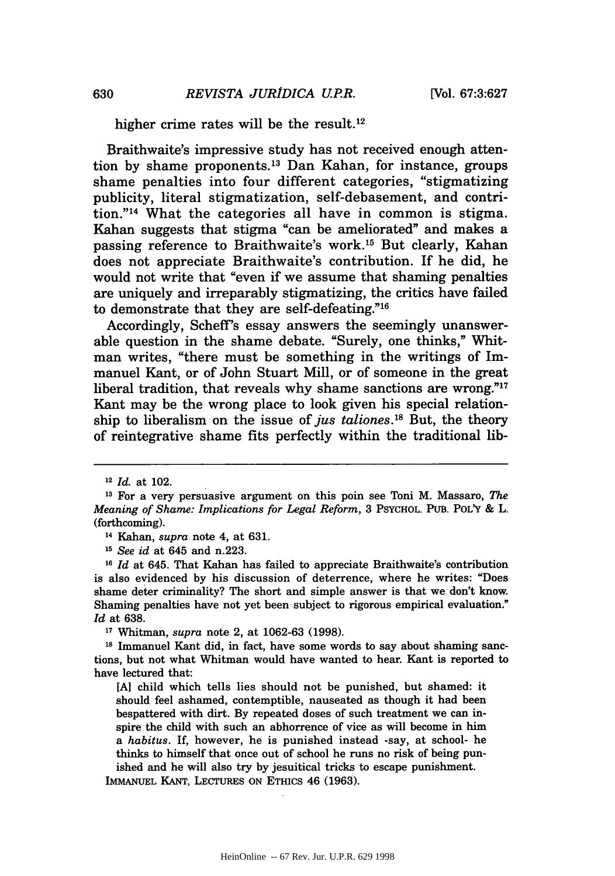higher crime rates will be the result.<sup>12</sup>

Braithwaite's impressive study has not received enough attention by shame proponents.<sup>13</sup> Dan Kahan, for instance, groups shame penalties into four different categories, "stigmatizing publicity, literal stigmatization, self-debasement, and contrition."<sup>14</sup> What the categories all have in common is stigma. Kahan suggests that stigma "can be ameliorated" and makes a passing reference to Braithwaite's work.<sup>15</sup> But clearly, Kahan does not appreciate Braithwaite's contribution. If he did, he would not write that "even if we assume that shaming penalties are uniquely and irreparably stigmatizing, the critics have failed to demonstrate that they are self-defeating."16

Accordingly, Scheff's essay answers the seemingly unanswerable question in the shame debate. "Surely, one thinks," Whitman writes, "there must be something in the writings of Immanuel Kant, or of John Stuart Mill, or of someone in the great liberal tradition, that reveals why shame sanctions are wrong." $17$ Kant may be the wrong place to look given his special relationship to liberalism on the issue of *jus taliones*.<sup>18</sup> But, the theory of reintegrative shame fits perfectly within the traditional lib-

**<sup>15</sup>***See id* at 645 and n.223.

*<sup>16</sup>Id* at 645. That Kahan has failed to appreciate Braithwaite's contribution is also evidenced by his discussion of deterrence, where he writes: "Does shame deter criminality? The short and simple answer is that we don't know. Shaming penalties have not yet been subject to rigorous empirical evaluation." *Id* at 638.

**<sup>17</sup>**Whitman, *supra* note 2, at 1062-63 (1998).

**18** Immanuel Kant did, in fact, have some words to say about shaming sanctions, but not what Whitman would have wanted to hear. Kant is reported to have lectured that:

**[A]** child which tells lies should not be punished, but shamed: it should feel ashamed, contemptible, nauseated as though it had been bespattered with dirt. By repeated doses of such treatment we can inspire the child with such an abhorrence of vice as will become in him *a habitus.* If, however, he is punished instead -say, at school- he thinks to himself that once out of school he runs no risk of being punished and he will also try by jesuitical tricks to escape punishment.

**<sup>12</sup>***Id.* at 102.

**<sup>13</sup>**For a very persuasive argument on this poin see Toni M. Massaro, *The Meaning of Shame: Implications for Legal Reform,* 3 PSYCHOL. PUB. POL'Y & L. (forthcoming).

**<sup>14</sup>**Kahan, *supra* note 4, at 631.

IMMANUEL KANT, LECTURES ON ETHICS 46 (1963).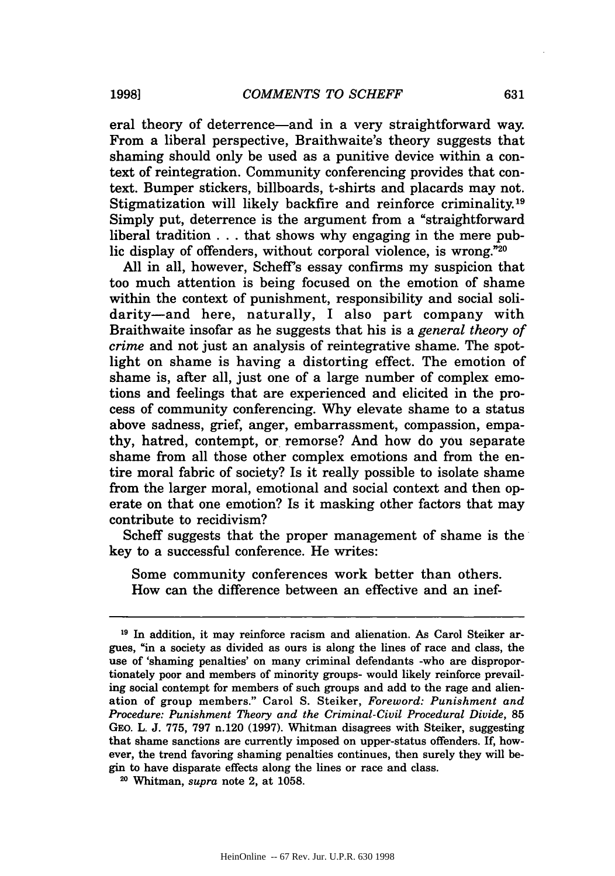eral theory of deterrence-and in a very straightforward way. From a liberal perspective, Braithwaite's theory suggests that shaming should only be used as a punitive device within a context of reintegration. Community conferencing provides that context. Bumper stickers, billboards, t-shirts and placards may not. Stigmatization will likely backfire and reinforce criminality.<sup>19</sup> Simply put, deterrence is the argument from a "straightforward liberal tradition . . . that shows why engaging in the mere public display of offenders, without corporal violence, is wrong."20

All in all, however, Scheff's essay confirms my suspicion that too much attention is being focused on the emotion of shame within the context of punishment, responsibility and social solidarity-and here, naturally, I also part company with Braithwaite insofar as he suggests that his is a *general theory of crime* and not just an analysis of reintegrative shame. The spotlight on shame is having a distorting effect. The emotion of shame is, after all, just one of a large number of complex emotions and feelings that are experienced and elicited in the process of community conferencing. Why elevate shame to a status above sadness, grief, anger, embarrassment, compassion, empathy, hatred, contempt, or remorse? And how do you separate shame from all those other complex emotions and from the entire moral fabric of society? Is it really possible to isolate shame from the larger moral, emotional and social context and then operate on that one emotion? Is it masking other factors that may contribute to recidivism?

Scheff suggests that the proper management of shame is the key to a successful conference. He writes:

Some community conferences work better than others. How can the difference between an effective and an inef-

**1998]**

**<sup>19</sup>** In addition, it may reinforce racism and alienation. As Carol Steiker argues, "in a society as divided as ours is along the lines of race and class, the use of 'shaming penalties' on many criminal defendants -who are disproportionately poor and members of minority groups- would likely reinforce prevailing social contempt for members of such groups and add to the rage and alienation of group members." Carol S. Steiker, *Foreword: Punishment and Procedure: Punishment Theory and the Criminal-Civil Procedural Divide,* 85 GEO. L. J. 775, 797 n.120 (1997). Whitman disagrees with Steiker, suggesting that shame sanctions are currently imposed on upper-status offenders. If, however, the trend favoring shaming penalties continues, then surely they will begin to have disparate effects along the lines or race and class.

**<sup>20</sup>**Whitman, *supra* note 2, at 1058.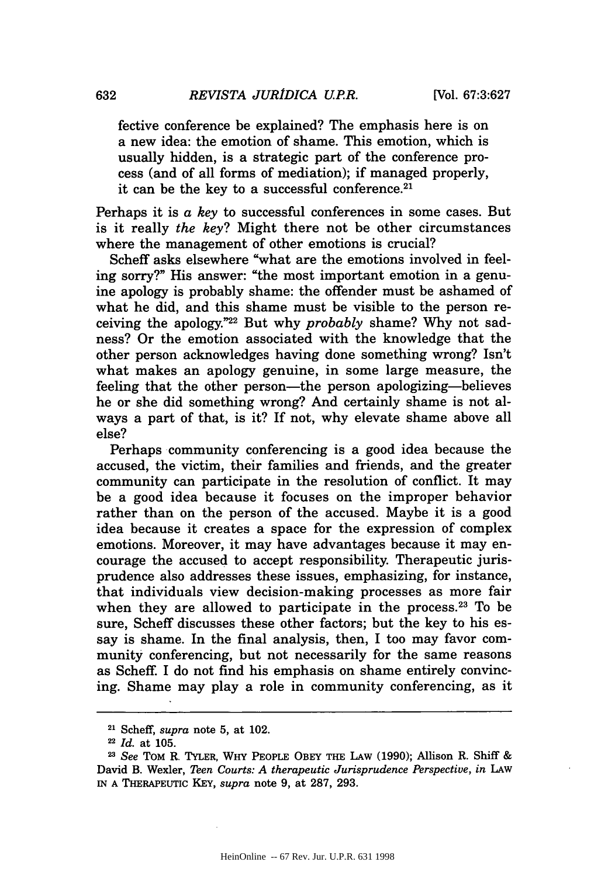fective conference be explained? The emphasis here is on a new idea: the emotion of shame. This emotion, which is usually hidden, is a strategic part of the conference process (and of all forms of mediation); if managed properly, it can be the key to a successful conference.<sup>21</sup>

Perhaps it is a *key* to successful conferences in some cases. But is it really *the key?* Might there not be other circumstances where the management of other emotions is crucial?

Scheff asks elsewhere "what are the emotions involved in feeling sorry?" His answer: "the most important emotion in a genuine apology is probably shame: the offender must be ashamed of what he did, and this shame must be visible to the person receiving the apology."22 But why *probably* shame? Why not sadness? Or the emotion associated with the knowledge that the other person acknowledges having done something wrong? Isn't what makes an apology genuine, in some large measure, the feeling that the other person-the person apologizing-believes he or she did something wrong? And certainly shame is not always a part of that, is it? If not, why elevate shame above all else?

Perhaps community conferencing is a good idea because the accused, the victim, their families and friends, and the greater community can participate in the resolution of conflict. It may be a good idea because it focuses on the improper behavior rather than on the person of the accused. Maybe it is a good idea because it creates a space for the expression of complex emotions. Moreover, it may have advantages because it may encourage the accused to accept responsibility. Therapeutic jurisprudence also addresses these issues, emphasizing, for instance, that individuals view decision-making processes as more fair when they are allowed to participate in the process.<sup>23</sup> To be sure, Scheff discusses these other factors; but the key to his essay is shame. In the final analysis, then, I too may favor community conferencing, but not necessarily for the same reasons as Scheff. I do not find his emphasis on shame entirely convincing. Shame may play a role in community conferencing, as it

**<sup>21</sup>**Scheff, *supra* note 5, at 102.

*<sup>22</sup> Id.* at 105.

*<sup>23</sup>See* TOM R. TYLER, WHY PEOPLE OBEY THE LAw **(1990);** Allison R. Shiff & David B. Wexler, *Teen Courts: A therapeutic Jurisprudence Perspective, in* LAW **IN A** THERAPEUTIC KEY, *supra* note 9, at 287, 293.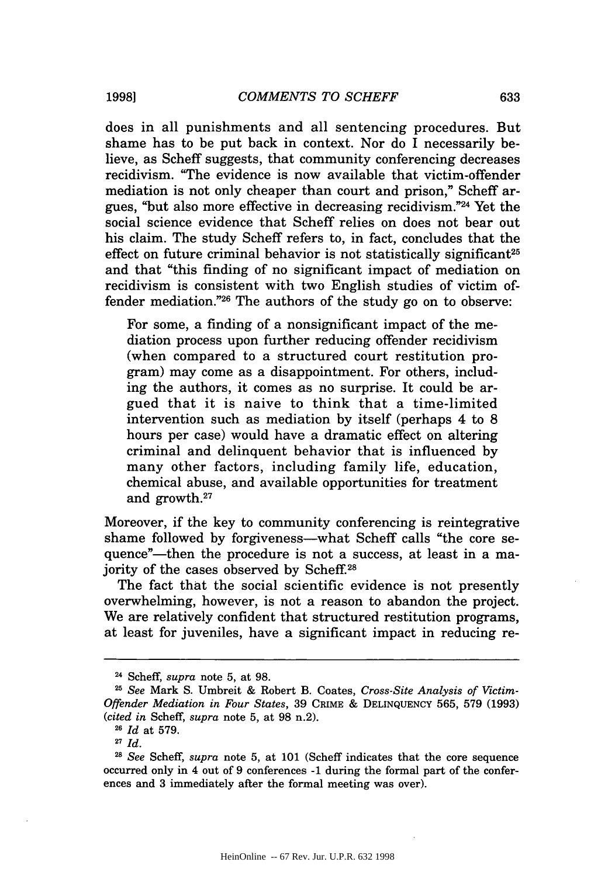does in all punishments and all sentencing procedures. But shame has to be put back in context. Nor do I necessarily believe, as Scheff suggests, that community conferencing decreases recidivism. "The evidence is now available that victim-offender mediation is not only cheaper than court and prison," Scheff argues, "but also more effective in decreasing recidivism."24 Yet the social science evidence that Scheff relies on does not bear out his claim. The study Scheff refers to, in fact, concludes that the effect on future criminal behavior is not statistically significant<sup>25</sup> and that "this finding of no significant impact of mediation on recidivism is consistent with two English studies of victim offender mediation." $26$  The authors of the study go on to observe:

For some, a finding of a nonsignificant impact of the mediation process upon further reducing offender recidivism (when compared to a structured court restitution program) may come as a disappointment. For others, including the authors, it comes as no surprise. It could be argued that it is naive to think that a time-limited intervention such as mediation by itself (perhaps 4 to 8 hours per case) would have a dramatic effect on altering criminal and delinquent behavior that is influenced by many other factors, including family life, education, chemical abuse, and available opportunities for treatment and growth.27

Moreover, if the key to community conferencing is reintegrative shame followed by forgiveness—what Scheff calls "the core sequence"—then the procedure is not a success, at least in a majority of the cases observed by Scheff.28

The fact that the social scientific evidence is not presently overwhelming, however, is not a reason to abandon the project. We are relatively confident that structured restitution programs, at least for juveniles, have a significant impact in reducing re-

**19981**

**<sup>24</sup>**Scheff, *supra* note 5, at 98.

**<sup>25</sup>** *See* Mark S. Umbreit & Robert B. Coates, *Cross-Site Analysis of Victim-Offender Mediation in Four States,* 39 CRIME & DELINQUENCY 565, 579 (1993) *(cited in* Scheff, *supra* note 5, at 98 n.2).

**<sup>26</sup>***Id* at 579.

**<sup>27</sup>***Id.*

<sup>21</sup>*See* Scheff, *supra* note 5, at 101 (Scheff indicates that the core sequence occurred only in 4 out of 9 conferences -1 during the formal part of the conferences and 3 immediately after the formal meeting was over).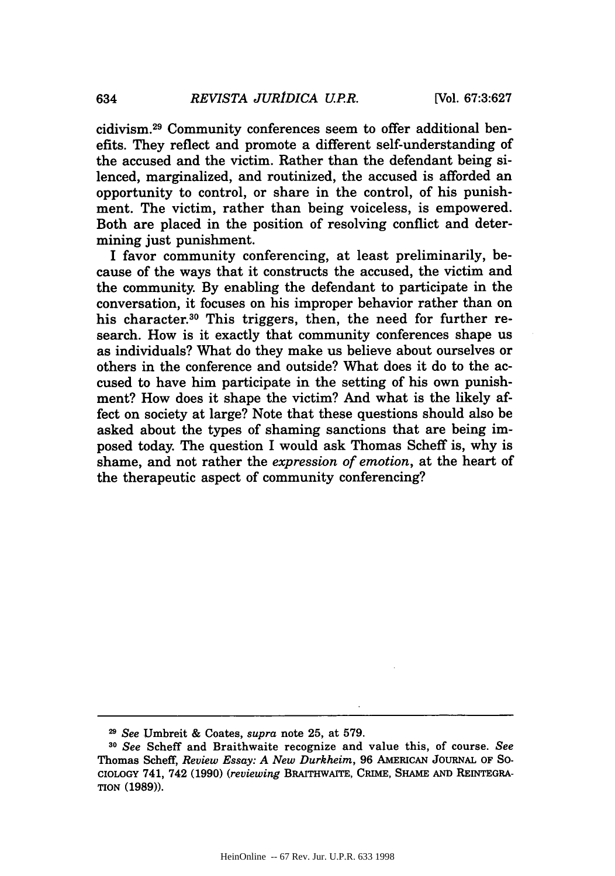cidivism.29 Community conferences seem to offer additional benefits. They reflect and promote a different self-understanding of the accused and the victim. Rather than the defendant being silenced, marginalized, and routinized, the accused is afforded an opportunity to control, or share in the control, of his punishment. The victim, rather than being voiceless, is empowered. Both are placed in the position of resolving conflict and determining just punishment.

I favor community conferencing, at least preliminarily, because of the ways that it constructs the accused, the victim and the community. **By** enabling the defendant to participate in the conversation, it focuses on his improper behavior rather than on his character.<sup>30</sup> This triggers, then, the need for further research. How is it exactly that community conferences shape us as individuals? What do they make us believe about ourselves or others in the conference and outside? What does it do to the accused to have him participate in the setting of his own punishment? How does it shape the victim? And what is the likely affect on society at large? Note that these questions should also be asked about the types of shaming sanctions that are being imposed today. The question I would ask Thomas Scheff is, why is shame, and not rather the *expression of emotion,* at the heart of the therapeutic aspect of community conferencing?

*<sup>29</sup>See* Umbreit **&** Coates, *supra* note **25,** at **579.**

**<sup>30</sup>***See* Scheff and Braithwaite recognize and value this, of course. *See* Thomas Scheff, *Review Essay: A New Durkheim,* **96 AMERICAN JOURNAL OF SO-CIOLOGY** 741, 742 **(1990)** *(reviewing* **BRArrHWAIrE, CRviE, SHAME AND REINTEGRA-TION (1989)).**